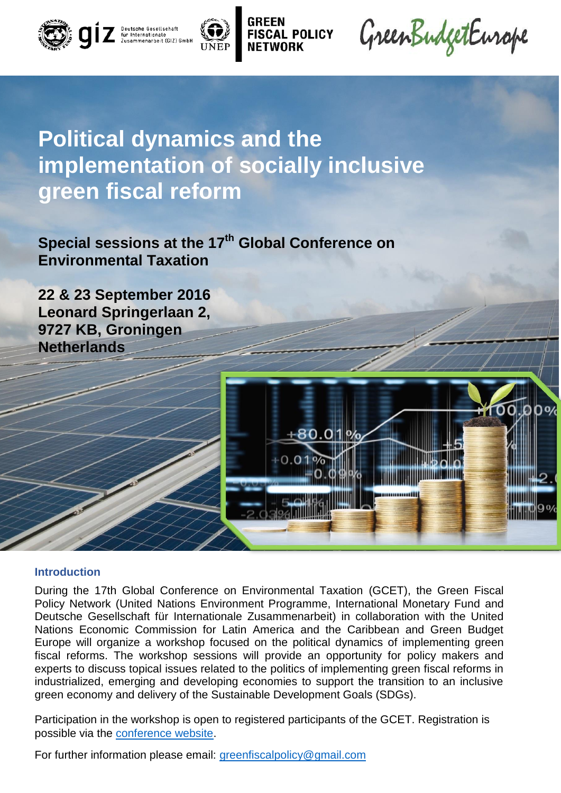



# **Political dynamics and the implementation of socially inclusive green fiscal reform**

**POLICY** 

**Special sessions at the 17th Global Conference on Environmental Taxation**

**22 & 23 September 2016 Leonard Springerlaan 2, 9727 KB, Groningen Netherlands**



#### **Introduction**

During the 17th Global Conference on Environmental Taxation (GCET), the Green Fiscal Policy Network (United Nations Environment Programme, International Monetary Fund and Deutsche Gesellschaft für Internationale Zusammenarbeit) in collaboration with the United Nations Economic Commission for Latin America and the Caribbean and Green Budget Europe will organize a workshop focused on the political dynamics of implementing green fiscal reforms. The workshop sessions will provide an opportunity for policy makers and experts to discuss topical issues related to the politics of implementing green fiscal reforms in industrialized, emerging and developing economies to support the transition to an inclusive green economy and delivery of the Sustainable Development Goals (SDGs).

Participation in the workshop is open to registered participants of the GCET. Registration is possible via the [conference website.](http://www.rug.nl/research/globalisation-studies-groningen/conferences/gcet17/registration-fees)

For further information please email: [greenfiscalpolicy@gmail.com](mailto:greenfiscalpolicy@gmail.com)